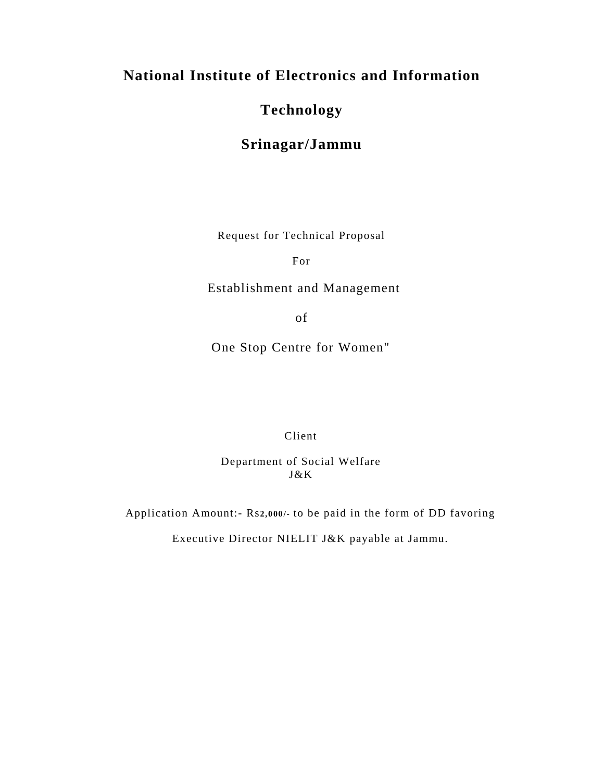# **National Institute of Electronics and Information**

# **Technology**

# **Srinagar/Jammu**

Request for Technical Proposal

For

Establishment and Management

of

One Stop Centre for Women"

Client

Department of Social Welfare J&K

Application Amount:- Rs**2,000/-** to be paid in the form of DD favoring

Executive Director NIELIT J&K payable at Jammu.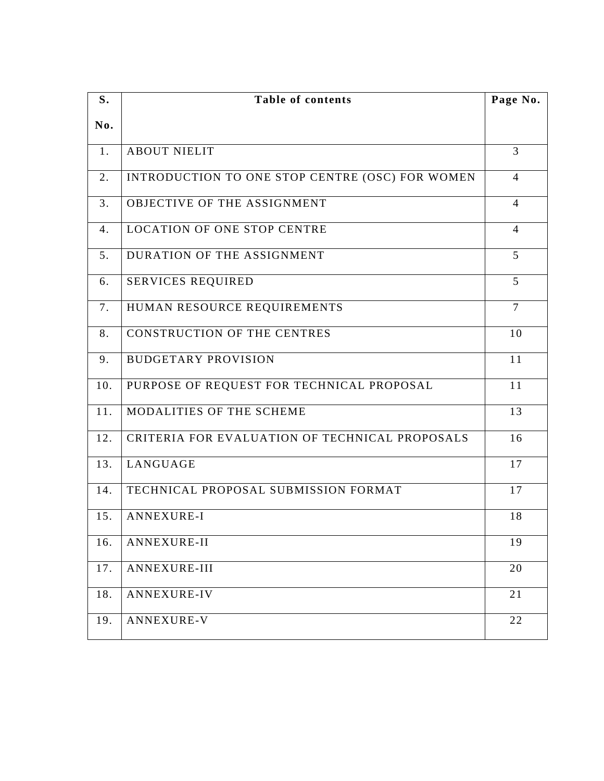| S.  | <b>Table of contents</b>                        |                |  |  |  |
|-----|-------------------------------------------------|----------------|--|--|--|
| No. |                                                 |                |  |  |  |
| 1.  | <b>ABOUT NIELIT</b>                             | $\overline{3}$ |  |  |  |
| 2.  | INTRODUCTION TO ONE STOP CENTRE (OSC) FOR WOMEN | $\overline{4}$ |  |  |  |
| 3.  | OBJECTIVE OF THE ASSIGNMENT                     | $\overline{4}$ |  |  |  |
| 4.  | <b>LOCATION OF ONE STOP CENTRE</b>              | $\overline{4}$ |  |  |  |
| 5.  | DURATION OF THE ASSIGNMENT                      | 5              |  |  |  |
| 6.  | <b>SERVICES REQUIRED</b>                        | 5              |  |  |  |
| 7.  | HUMAN RESOURCE REQUIREMENTS                     | $\tau$         |  |  |  |
| 8.  | <b>CONSTRUCTION OF THE CENTRES</b>              | 10             |  |  |  |
| 9.  | <b>BUDGETARY PROVISION</b>                      | 11             |  |  |  |
| 10. | PURPOSE OF REQUEST FOR TECHNICAL PROPOSAL       | 11             |  |  |  |
| 11. | MODALITIES OF THE SCHEME                        | 13             |  |  |  |
| 12. | CRITERIA FOR EVALUATION OF TECHNICAL PROPOSALS  | 16             |  |  |  |
| 13. | LANGUAGE                                        | 17             |  |  |  |
| 14. | TECHNICAL PROPOSAL SUBMISSION FORMAT            | 17             |  |  |  |
| 15. | <b>ANNEXURE-I</b>                               | 18             |  |  |  |
| 16. | ANNEXURE-II                                     | 19             |  |  |  |
| 17. | ANNEXURE-III                                    | 20             |  |  |  |
| 18. | <b>ANNEXURE-IV</b>                              | 21             |  |  |  |
| 19. | <b>ANNEXURE-V</b>                               | 22             |  |  |  |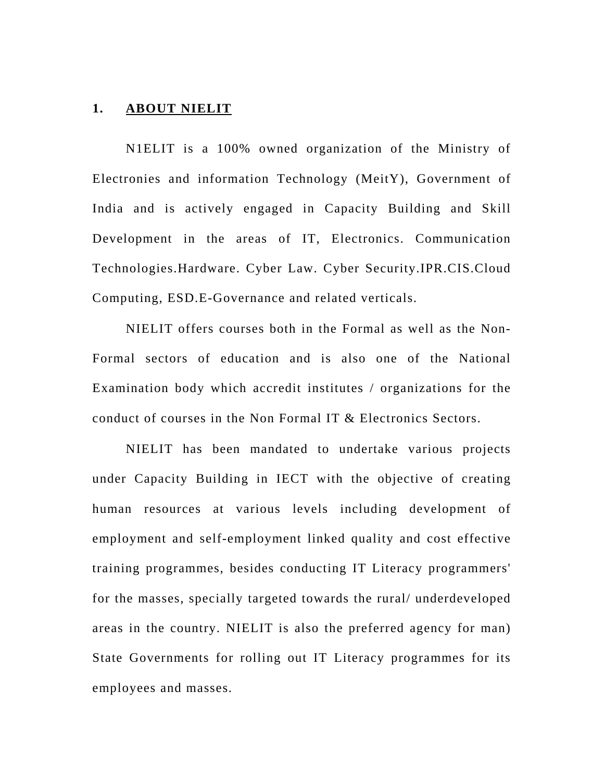#### **1. ABOUT NIELIT**

N1ELIT is a 100% owned organization of the Ministry of Electronies and information Technology (MeitY), Government of India and is actively engaged in Capacity Building and Skill Development in the areas of IT, Electronics. Communication Technologies.Hardware. Cyber Law. Cyber Security.IPR.CIS.Cloud Computing, ESD.E-Governance and related verticals.

NIELIT offers courses both in the Formal as well as the Non-Formal sectors of education and is also one of the National Examination body which accredit institutes / organizations for the conduct of courses in the Non Formal IT & Electronics Sectors.

NIELIT has been mandated to undertake various projects under Capacity Building in IECT with the objective of creating human resources at various levels including development of employment and self-employment linked quality and cost effective training programmes, besides conducting IT Literacy programmers' for the masses, specially targeted towards the rural/ underdeveloped areas in the country. NIELIT is also the preferred agency for man) State Governments for rolling out IT Literacy programmes for its employees and masses.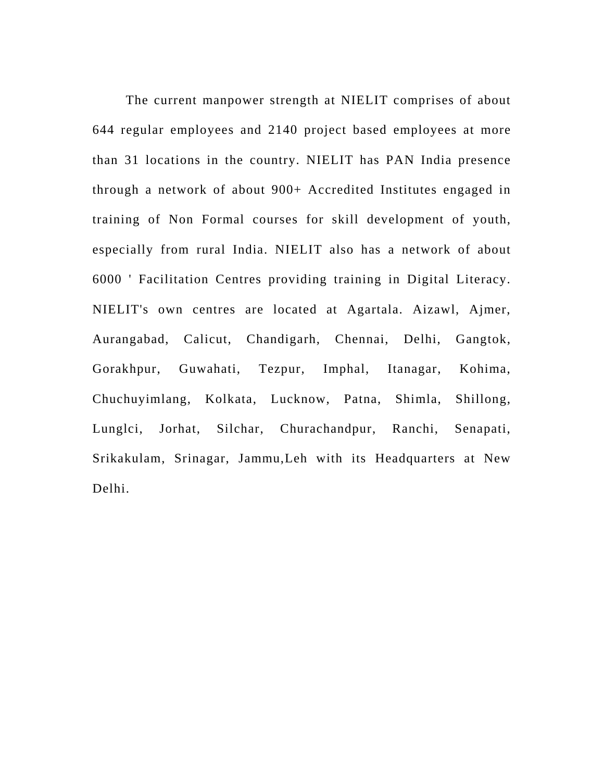The current manpower strength at NIELIT comprises of about 644 regular employees and 2140 project based employees at more than 31 locations in the country. NIELIT has PAN India presence through a network of about 900+ Accredited Institutes engaged in training of Non Formal courses for skill development of youth, especially from rural India. NIELIT also has a network of about 6000 ' Facilitation Centres providing training in Digital Literacy. NIELIT's own centres are located at Agartala. Aizawl, Ajmer, Aurangabad, Calicut, Chandigarh, Chennai, Delhi, Gangtok, Gorakhpur, Guwahati, Tezpur, Imphal, Itanagar, Kohima, Chuchuyimlang, Kolkata, Lucknow, Patna, Shimla, Shillong, Lunglci, Jorhat, Silchar, Churachandpur, Ranchi, Senapati, Srikakulam, Srinagar, Jammu,Leh with its Headquarters at New Delhi.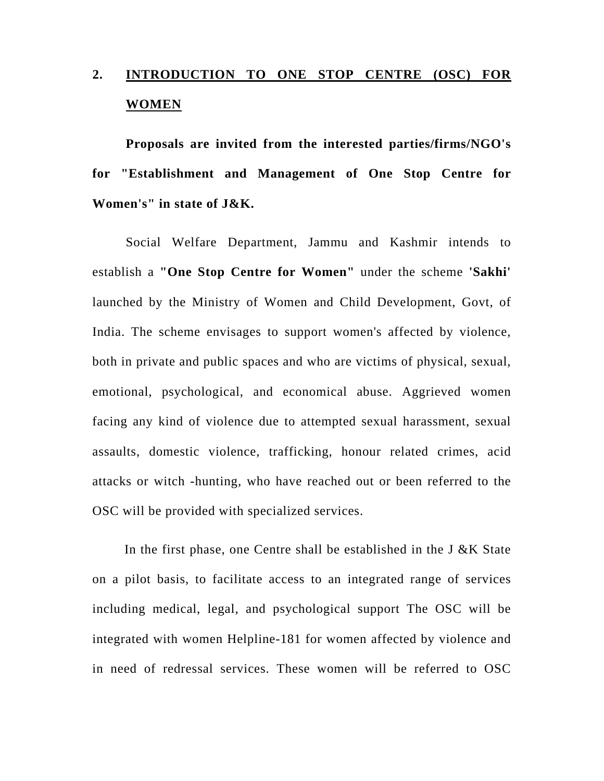# **2. INTRODUCTION TO ONE STOP CENTRE (OSC) FOR WOMEN**

**Proposals are invited from the interested parties/firms/NGO's for "Establishment and Management of One Stop Centre for Women's" in state of J&K.** 

Social Welfare Department, Jammu and Kashmir intends to establish a **"One Stop Centre for Women"** under the scheme **'Sakhi'**  launched by the Ministry of Women and Child Development, Govt, of India. The scheme envisages to support women's affected by violence, both in private and public spaces and who are victims of physical, sexual, emotional, psychological, and economical abuse. Aggrieved women facing any kind of violence due to attempted sexual harassment, sexual assaults, domestic violence, trafficking, honour related crimes, acid attacks or witch -hunting, who have reached out or been referred to the OSC will be provided with specialized services.

In the first phase, one Centre shall be established in the  $J \& K$  State on a pilot basis, to facilitate access to an integrated range of services including medical, legal, and psychological support The OSC will be integrated with women Helpline-181 for women affected by violence and in need of redressal services. These women will be referred to OSC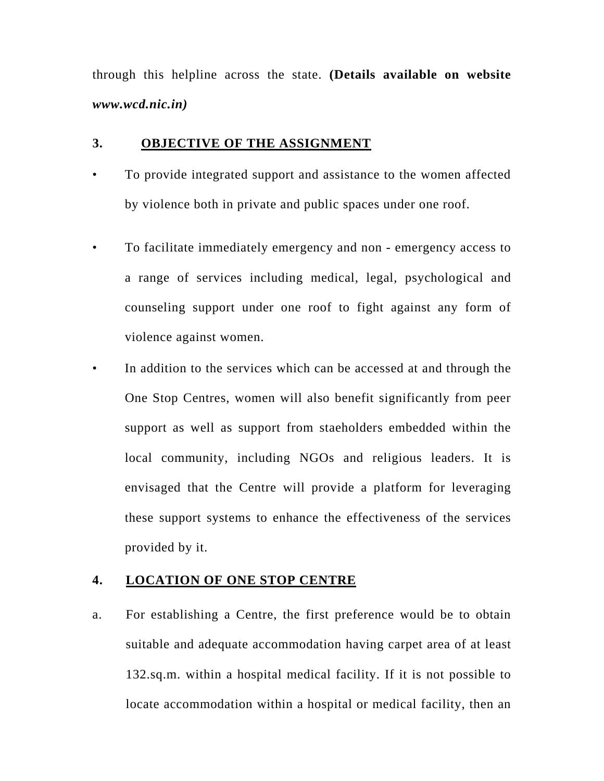through this helpline across the state. **(Details available on website**  *www.wcd.nic.in)* 

#### **3. OBJECTIVE OF THE ASSIGNMENT**

- To provide integrated support and assistance to the women affected by violence both in private and public spaces under one roof.
- To facilitate immediately emergency and non emergency access to a range of services including medical, legal, psychological and counseling support under one roof to fight against any form of violence against women.
- In addition to the services which can be accessed at and through the One Stop Centres, women will also benefit significantly from peer support as well as support from staeholders embedded within the local community, including NGOs and religious leaders. It is envisaged that the Centre will provide a platform for leveraging these support systems to enhance the effectiveness of the services provided by it.

#### **4. LOCATION OF ONE STOP CENTRE**

a. For establishing a Centre, the first preference would be to obtain suitable and adequate accommodation having carpet area of at least 132.sq.m. within a hospital medical facility. If it is not possible to locate accommodation within a hospital or medical facility, then an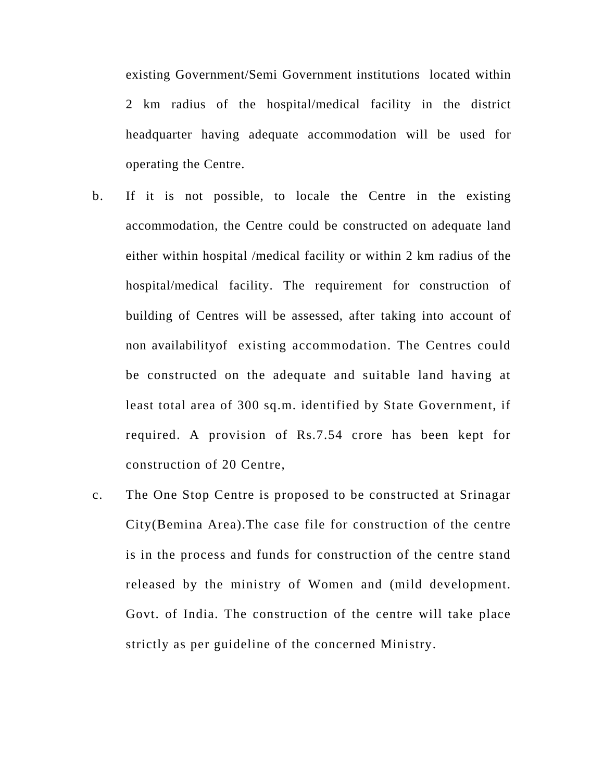existing Government/Semi Government institutions located within 2 km radius of the hospital/medical facility in the district headquarter having adequate accommodation will be used for operating the Centre.

- b. If it is not possible, to locale the Centre in the existing accommodation, the Centre could be constructed on adequate land either within hospital /medical facility or within 2 km radius of the hospital/medical facility. The requirement for construction of building of Centres will be assessed, after taking into account of non availabilityof existing accommodation. The Centres could be constructed on the adequate and suitable land having at least total area of 300 sq.m. identified by State Government, if required. A provision of Rs.7.54 crore has been kept for construction of 20 Centre,
- c. The One Stop Centre is proposed to be constructed at Srinagar City(Bemina Area).The case file for construction of the centre is in the process and funds for construction of the centre stand released by the ministry of Women and (mild development. Govt. of India. The construction of the centre will take place strictly as per guideline of the concerned Ministry.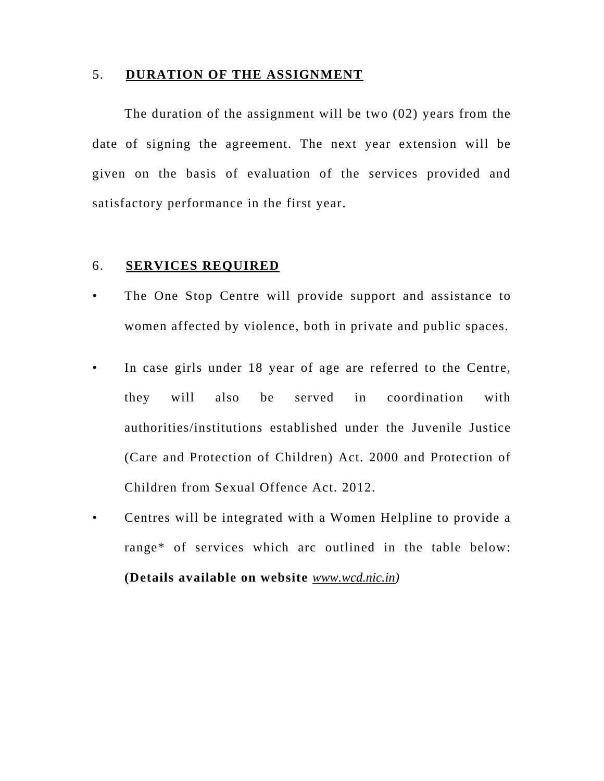#### 5. **DURATION OF THE ASSIGNMENT**

The duration of the assignment will be two (02) years from the date of signing the agreement. The next year extension will be given on the basis of evaluation of the services provided and satisfactory performance in the first year.

#### 6. **SERVICES REQUIRED**

- The One Stop Centre will provide support and assistance to women affected by violence, both in private and public spaces.
- In case girls under 18 year of age are referred to the Centre, they will also be served in coordination with authorities/institutions established under the Juvenile Justice (Care and Protection of Children) Act. 2000 and Protection of Children from Sexual Offence Act. 2012.
- Centres will be integrated with a Women Helpline to provide a range\* of services which arc outlined in the table below: **(Details available on website** *www.wcd.nic.in)*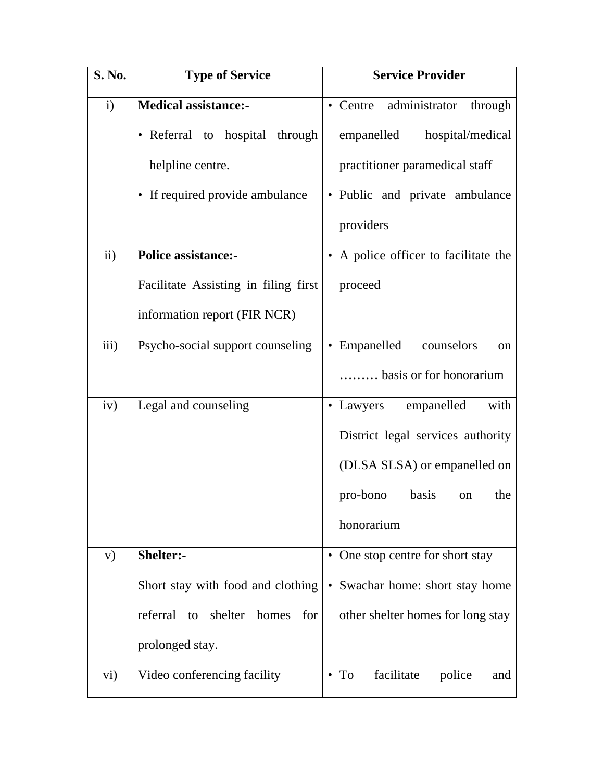| S. No.            | <b>Type of Service</b>                 | <b>Service Provider</b>                     |  |  |
|-------------------|----------------------------------------|---------------------------------------------|--|--|
| $\mathbf{i}$      | <b>Medical assistance:-</b>            | · Centre administrator through              |  |  |
|                   | • Referral to hospital through         | empanelled<br>hospital/medical              |  |  |
|                   | helpline centre.                       | practitioner paramedical staff              |  |  |
|                   | • If required provide ambulance        | • Public and private ambulance              |  |  |
|                   |                                        | providers                                   |  |  |
| ii)               | <b>Police assistance:-</b>             | • A police officer to facilitate the        |  |  |
|                   | Facilitate Assisting in filing first   | proceed                                     |  |  |
|                   | information report (FIR NCR)           |                                             |  |  |
| iii)              | Psycho-social support counseling       | • Empanelled<br>counselors<br><sub>on</sub> |  |  |
|                   |                                        | basis or for honorarium                     |  |  |
| iv)               | Legal and counseling                   | • Lawyers empanelled<br>with                |  |  |
|                   |                                        | District legal services authority           |  |  |
|                   |                                        | (DLSA SLSA) or empanelled on                |  |  |
|                   |                                        | pro-bono<br>basis<br>the<br>on              |  |  |
|                   |                                        | honorarium                                  |  |  |
| V)                | Shelter:-                              | • One stop centre for short stay            |  |  |
|                   | Short stay with food and clothing      | • Swachar home: short stay home             |  |  |
|                   | referral<br>to shelter<br>homes<br>for | other shelter homes for long stay           |  |  |
|                   | prolonged stay.                        |                                             |  |  |
| $\overline{vi}$ ) | Video conferencing facility            | $\bullet$ To<br>facilitate<br>police<br>and |  |  |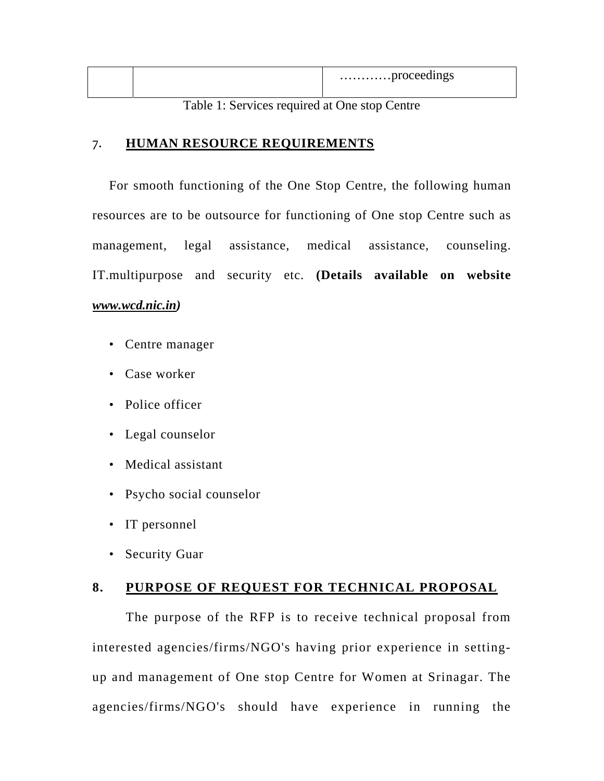|  | proceedings |
|--|-------------|
|  |             |

Table 1: Services required at One stop Centre

#### 7. **HUMAN RESOURCE REQUIREMENTS**

For smooth functioning of the One Stop Centre, the following human resources are to be outsource for functioning of One stop Centre such as management, legal assistance, medical assistance, counseling. IT.multipurpose and security etc. **(Details available on website**  *www.wcd.nic.in)* 

- Centre manager
- Case worker
- Police officer
- Legal counselor
- Medical assistant
- Psycho social counselor
- IT personnel
- Security Guar

# **8. PURPOSE OF REQUEST FOR TECHNICAL PROPOSAL**

The purpose of the RFP is to receive technical proposal from interested agencies/firms/NGO's having prior experience in settingup and management of One stop Centre for Women at Srinagar. The agencies/firms/NGO's should have experience in running the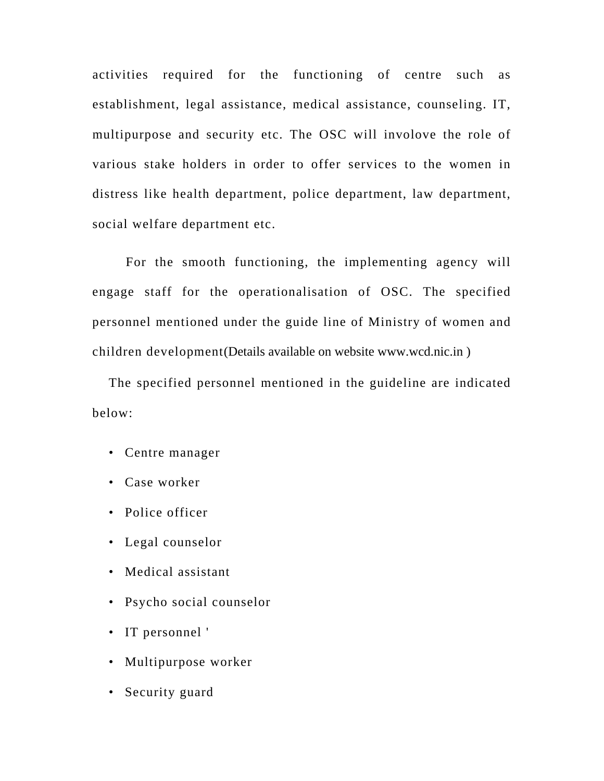activities required for the functioning of centre such as establishment, legal assistance, medical assistance, counseling. IT, multipurpose and security etc. The OSC will involove the role of various stake holders in order to offer services to the women in distress like health department, police department, law department, social welfare department etc.

For the smooth functioning, the implementing agency will engage staff for the operationalisation of OSC. The specified personnel mentioned under the guide line of Ministry of women and children development(Details available on website www.wcd.nic.in )

The specified personnel mentioned in the guideline are indicated below:

- Centre manager
- Case worker
- Police officer
- Legal counselor
- Medical assistant
- Psycho social counselor
- IT personnel '
- Multipurpose worker
- Security guard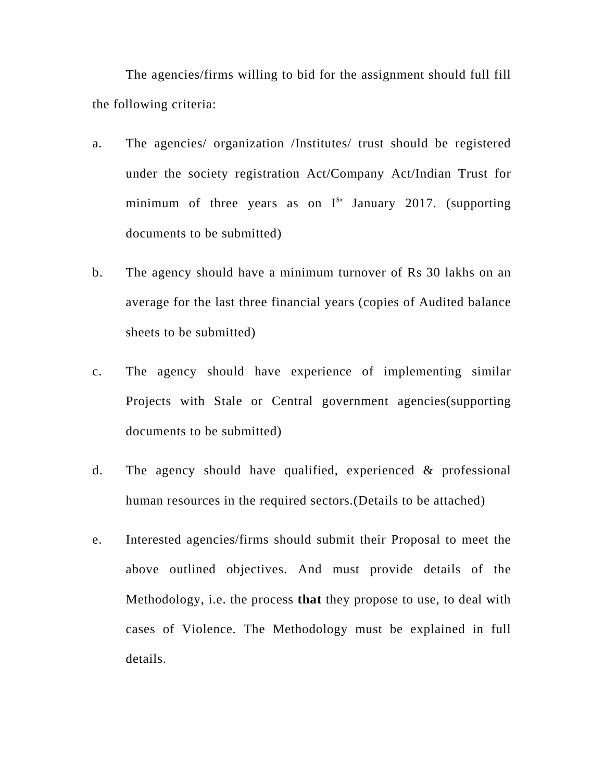The agencies/firms willing to bid for the assignment should full fill the following criteria:

- a. The agencies/ organization /Institutes/ trust should be registered under the society registration Act/Company Act/Indian Trust for minimum of three years as on  $I^{s}$  January 2017. (supporting documents to be submitted)
- b. The agency should have a minimum turnover of Rs 30 lakhs on an average for the last three financial years (copies of Audited balance sheets to be submitted)
- c. The agency should have experience of implementing similar Projects with Stale or Central government agencies(supporting documents to be submitted)
- d. The agency should have qualified, experienced & professional human resources in the required sectors.(Details to be attached)
- e. Interested agencies/firms should submit their Proposal to meet the above outlined objectives. And must provide details of the Methodology, i.e. the process **that** they propose to use, to deal with cases of Violence. The Methodology must be explained in full details.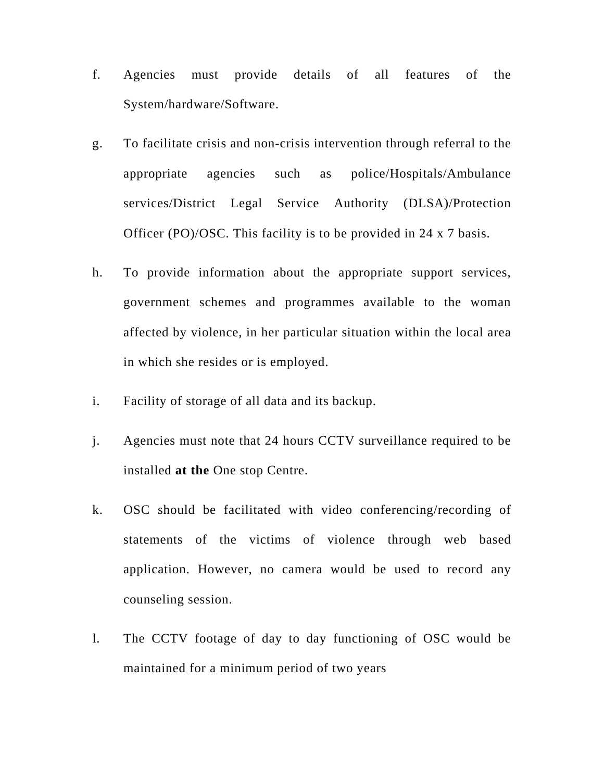- f. Agencies must provide details of all features of the System/hardware/Software.
- g. To facilitate crisis and non-crisis intervention through referral to the appropriate agencies such as police/Hospitals/Ambulance services/District Legal Service Authority (DLSA)/Protection Officer (PO)/OSC. This facility is to be provided in 24 x 7 basis.
- h. To provide information about the appropriate support services, government schemes and programmes available to the woman affected by violence, in her particular situation within the local area in which she resides or is employed.
- i. Facility of storage of all data and its backup.
- j. Agencies must note that 24 hours CCTV surveillance required to be installed **at the** One stop Centre.
- k. OSC should be facilitated with video conferencing/recording of statements of the victims of violence through web based application. However, no camera would be used to record any counseling session.
- l. The CCTV footage of day to day functioning of OSC would be maintained for a minimum period of two years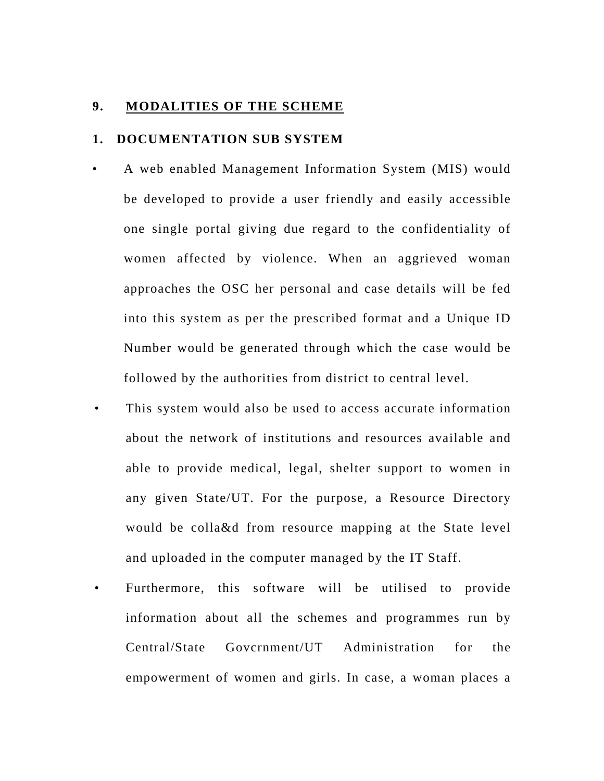#### **9. MODALITIES OF THE SCHEME**

#### **1. DOCUMENTATION SUB SYSTEM**

- A web enabled Management Information System (MIS) would be developed to provide a user friendly and easily accessible one single portal giving due regard to the confidentiality of women affected by violence. When an aggrieved woman approaches the OSC her personal and case details will be fed into this system as per the prescribed format and a Unique ID Number would be generated through which the case would be followed by the authorities from district to central level.
	- This system would also be used to access accurate information about the network of institutions and resources available and able to provide medical, legal, shelter support to women in any given State/UT. For the purpose, a Resource Directory would be colla&d from resource mapping at the State level and uploaded in the computer managed by the IT Staff.
	- Furthermore, this software will be utilised to provide information about all the schemes and programmes run by Central/State Govcrnment/UT Administration for the empowerment of women and girls. In case, a woman places a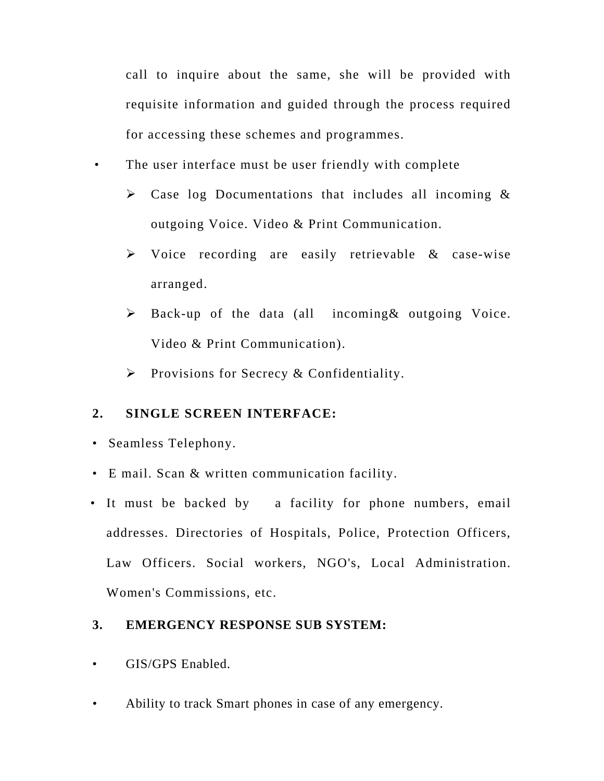call to inquire about the same, she will be provided with requisite information and guided through the process required for accessing these schemes and programmes.

• The user interface must be user friendly with complete

- $\triangleright$  Case log Documentations that includes all incoming & outgoing Voice. Video & Print Communication.
- S Voice recording are easily retrievable & case-wise arranged.
- $\triangleright$  Back-up of the data (all incoming & outgoing Voice. Video & Print Communication).
- $\triangleright$  Provisions for Secrecy & Confidentiality.

#### **2. SINGLE SCREEN INTERFACE:**

- Seamless Telephony.
- E mail. Scan & written communication facility.
- It must be backed by a facility for phone numbers, email addresses. Directories of Hospitals, Police, Protection Officers, Law Officers. Social workers, NGO's, Local Administration. Women's Commissions, etc.

#### **3. EMERGENCY RESPONSE SUB SYSTEM:**

- GIS/GPS Enabled.
- Ability to track Smart phones in case of any emergency.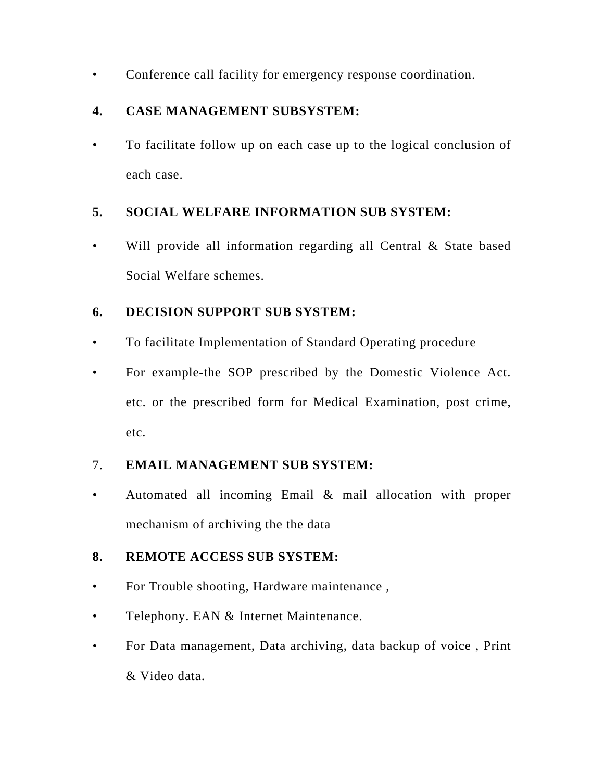• Conference call facility for emergency response coordination.

# **4. CASE MANAGEMENT SUBSYSTEM:**

• To facilitate follow up on each case up to the logical conclusion of each case.

# **5. SOCIAL WELFARE INFORMATION SUB SYSTEM:**

Will provide all information regarding all Central  $\&$  State based Social Welfare schemes.

# **6. DECISION SUPPORT SUB SYSTEM:**

- To facilitate Implementation of Standard Operating procedure
- For example-the SOP prescribed by the Domestic Violence Act. etc. or the prescribed form for Medical Examination, post crime, etc.

# 7. **EMAIL MANAGEMENT SUB SYSTEM:**

• Automated all incoming Email & mail allocation with proper mechanism of archiving the the data

# **8. REMOTE ACCESS SUB SYSTEM:**

- For Trouble shooting, Hardware maintenance ,
- Telephony. EAN & Internet Maintenance.
- For Data management, Data archiving, data backup of voice , Print & Video data.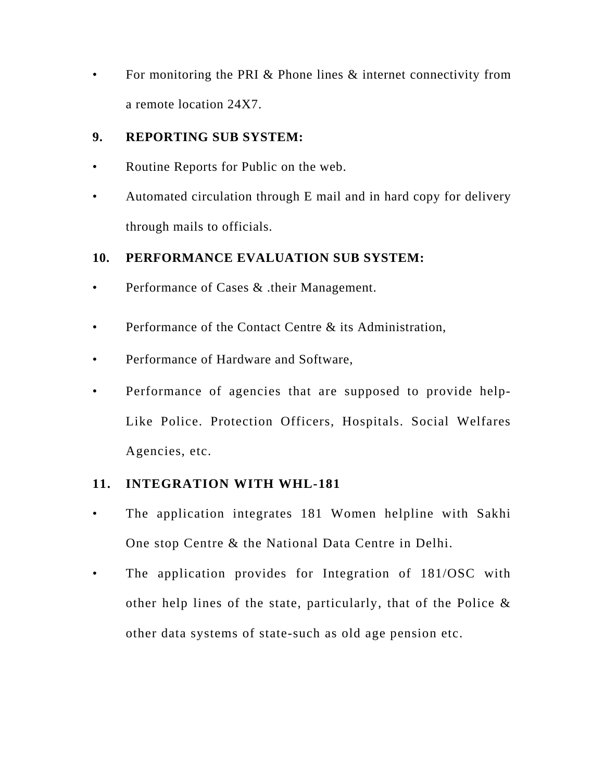• For monitoring the PRI & Phone lines & internet connectivity from a remote location 24X7.

### **9. REPORTING SUB SYSTEM:**

- Routine Reports for Public on the web.
- Automated circulation through E mail and in hard copy for delivery through mails to officials.

## **10. PERFORMANCE EVALUATION SUB SYSTEM:**

- Performance of Cases & .their Management.
- Performance of the Contact Centre & its Administration.
- Performance of Hardware and Software,
- Performance of agencies that are supposed to provide help-Like Police. Protection Officers, Hospitals. Social Welfares Agencies, etc.

## **11. INTEGRATION WITH WHL-181**

- The application integrates 181 Women helpline with Sakhi One stop Centre & the National Data Centre in Delhi.
- The application provides for Integration of 181/OSC with other help lines of the state, particularly, that of the Police & other data systems of state-such as old age pension etc.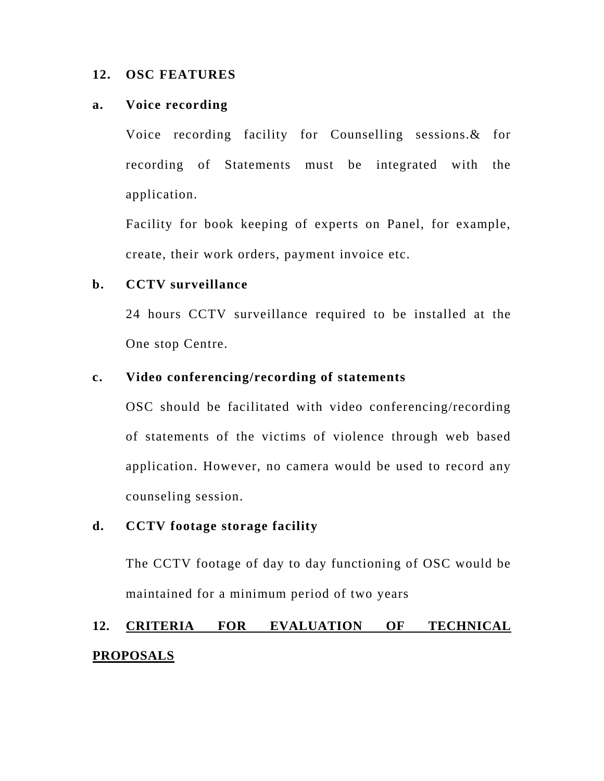#### **12. OSC FEATURES**

#### **a. Voice recording**

Voice recording facility for Counselling sessions.& for recording of Statements must be integrated with the application.

Facility for book keeping of experts on Panel, for example, create, their work orders, payment invoice etc.

#### **b. CCTV surveillance**

24 hours CCTV surveillance required to be installed at the One stop Centre.

#### **c. Video conferencing/recording of statements**

OSC should be facilitated with video conferencing/recording of statements of the victims of violence through web based application. However, no camera would be used to record any counseling session.

# **d. CCTV footage storage facility**

The CCTV footage of day to day functioning of OSC would be maintained for a minimum period of two years

# **12. CRITERIA FOR EVALUATION OF TECHNICAL PROPOSALS**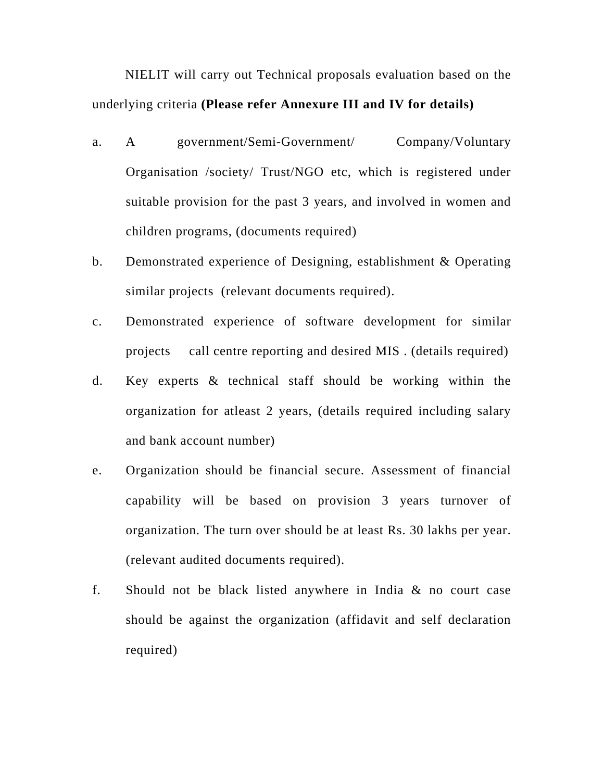NIELIT will carry out Technical proposals evaluation based on the underlying criteria **(Please refer Annexure III and IV for details)** 

- a. A government/Semi-Government/ Company/Voluntary Organisation /society/ Trust/NGO etc, which is registered under suitable provision for the past 3 years, and involved in women and children programs, (documents required)
- b. Demonstrated experience of Designing, establishment & Operating similar projects (relevant documents required).
- c. Demonstrated experience of software development for similar projects call centre reporting and desired MIS . (details required)
- d. Key experts & technical staff should be working within the organization for atleast 2 years, (details required including salary and bank account number)
- e. Organization should be financial secure. Assessment of financial capability will be based on provision 3 years turnover of organization. The turn over should be at least Rs. 30 lakhs per year. (relevant audited documents required).
- f. Should not be black listed anywhere in India & no court case should be against the organization (affidavit and self declaration required)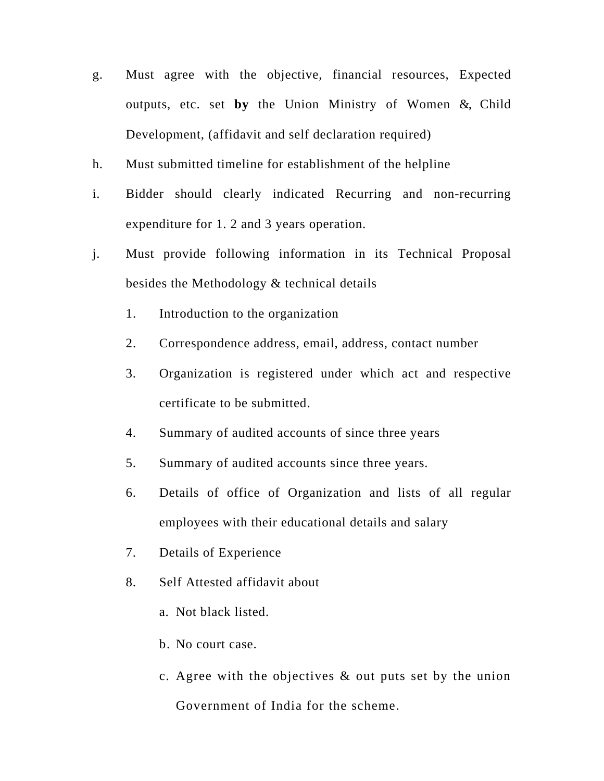- g. Must agree with the objective, financial resources, Expected outputs, etc. set **by** the Union Ministry of Women &, Child Development, (affidavit and self declaration required)
- h. Must submitted timeline for establishment of the helpline
- i. Bidder should clearly indicated Recurring and non-recurring expenditure for 1. 2 and 3 years operation.
- j. Must provide following information in its Technical Proposal besides the Methodology & technical details
	- 1. Introduction to the organization
	- 2. Correspondence address, email, address, contact number
	- 3. Organization is registered under which act and respective certificate to be submitted.
	- 4. Summary of audited accounts of since three years
	- 5. Summary of audited accounts since three years.
	- 6. Details of office of Organization and lists of all regular employees with their educational details and salary
	- 7. Details of Experience
	- 8. Self Attested affidavit about
		- a. Not black listed.
		- b. No court case.
		- c. Agree with the objectives & out puts set by the union Government of India for the scheme.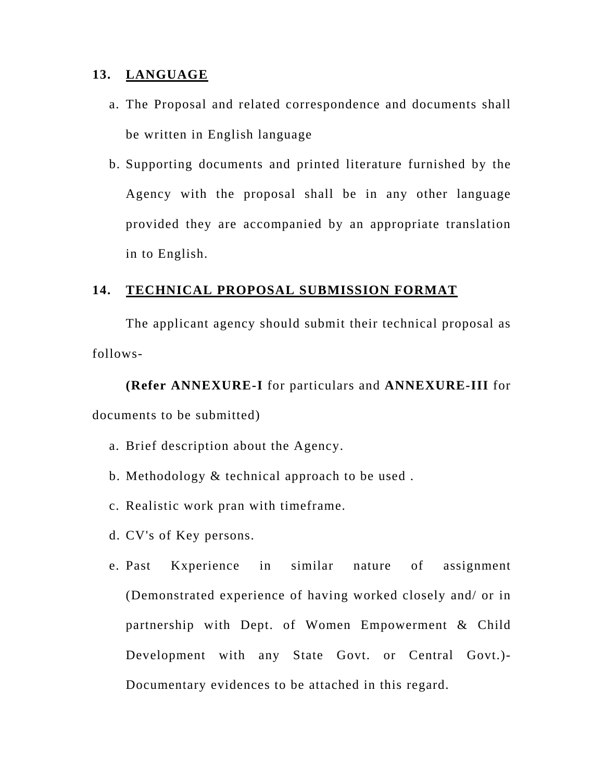#### **13. LANGUAGE**

- a. The Proposal and related correspondence and documents shall be written in English language
- b. Supporting documents and printed literature furnished by the Agency with the proposal shall be in any other language provided they are accompanied by an appropriate translation in to English.

#### **14. TECHNICAL PROPOSAL SUBMISSION FORMAT**

The applicant agency should submit their technical proposal as follows-

**(Refer ANNEXURE-I** for particulars and **ANNEXURE-III** for documents to be submitted)

- a. Brief description about the Agency.
- b. Methodology & technical approach to be used .
- c. Realistic work pran with timeframe.
- d. CV's of Key persons.
- e. Past Kxperience in similar nature of assignment (Demonstrated experience of having worked closely and/ or in partnership with Dept. of Women Empowerment & Child Development with any State Govt. or Central Govt.)- Documentary evidences to be attached in this regard.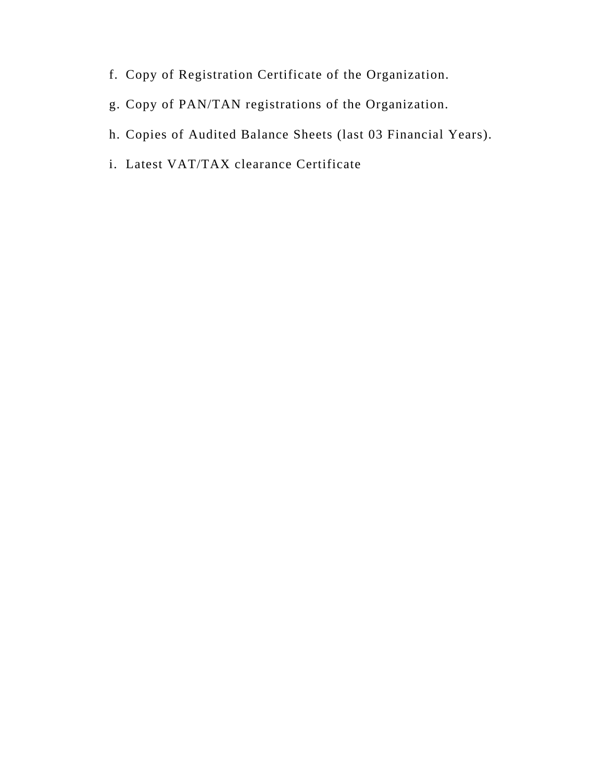- f. Copy of Registration Certificate of the Organization.
- g. Copy of PAN/TAN registrations of the Organization.
- h. Copies of Audited Balance Sheets (last 03 Financial Years).
- i. Latest VAT/TAX clearance Certificate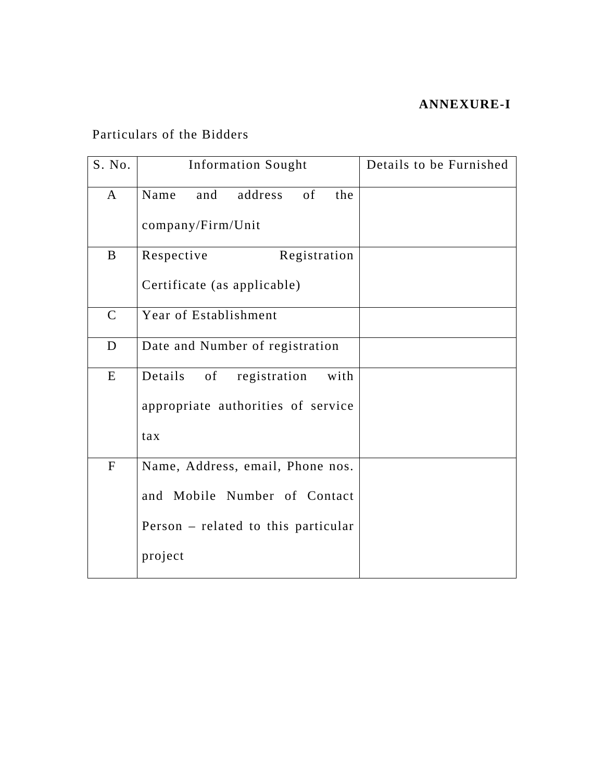## **ANNEXURE-I**

# Particulars of the Bidders

| S. No.       | <b>Information Sought</b>             | Details to be Furnished |
|--------------|---------------------------------------|-------------------------|
| $\mathbf{A}$ | the<br>Name<br>address<br>of<br>and   |                         |
|              | company/Firm/Unit                     |                         |
| B            | Registration<br>Respective            |                         |
|              | Certificate (as applicable)           |                         |
| $\mathbf C$  | Year of Establishment                 |                         |
| D            | Date and Number of registration       |                         |
| E            | registration<br>Details<br>of<br>with |                         |
|              | appropriate authorities of service    |                         |
|              | tax                                   |                         |
| ${\bf F}$    | Name, Address, email, Phone nos.      |                         |
|              | and Mobile Number of Contact          |                         |
|              | Person - related to this particular   |                         |
|              | project                               |                         |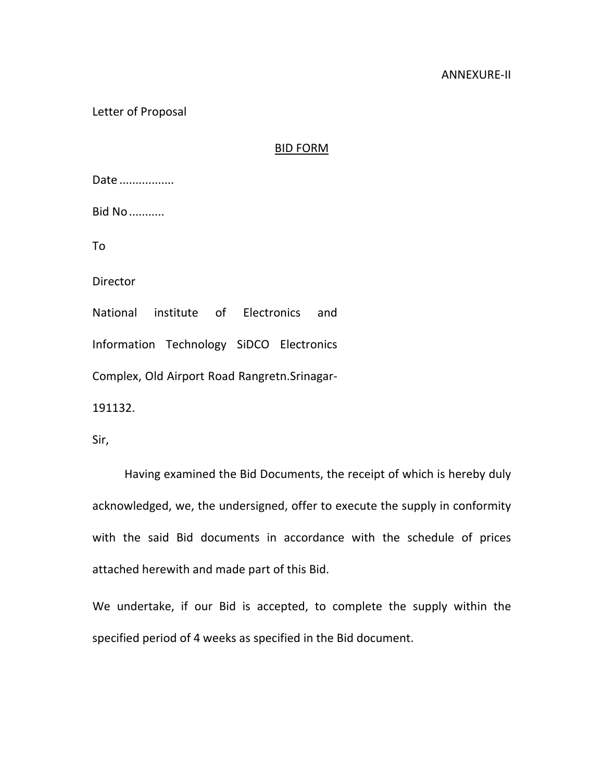#### ANNEXURE‐II

Letter of Proposal

#### BID FORM

Date .................

Bid No...........

To

Director

National institute of Electronics and

Information Technology SiDCO Electronics

Complex, Old Airport Road Rangretn.Srinagar‐

191132.

Sir,

Having examined the Bid Documents, the receipt of which is hereby duly acknowledged, we, the undersigned, offer to execute the supply in conformity with the said Bid documents in accordance with the schedule of prices attached herewith and made part of this Bid.

We undertake, if our Bid is accepted, to complete the supply within the specified period of 4 weeks as specified in the Bid document.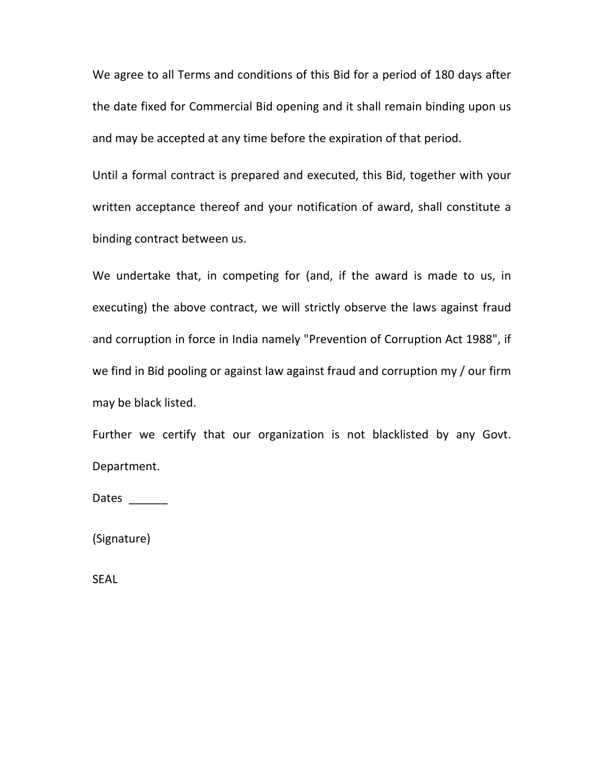We agree to all Terms and conditions of this Bid for a period of 180 days after the date fixed for Commercial Bid opening and it shall remain binding upon us and may be accepted at any time before the expiration of that period.

Until a formal contract is prepared and executed, this Bid, together with your written acceptance thereof and your notification of award, shall constitute a binding contract between us.

We undertake that, in competing for (and, if the award is made to us, in executing) the above contract, we will strictly observe the laws against fraud and corruption in force in India namely "Prevention of Corruption Act 1988", if we find in Bid pooling or against law against fraud and corruption my / our firm may be black listed.

Further we certify that our organization is not blacklisted by any Govt. Department.

Dates \_\_\_\_\_\_\_

(Signature)

SEAL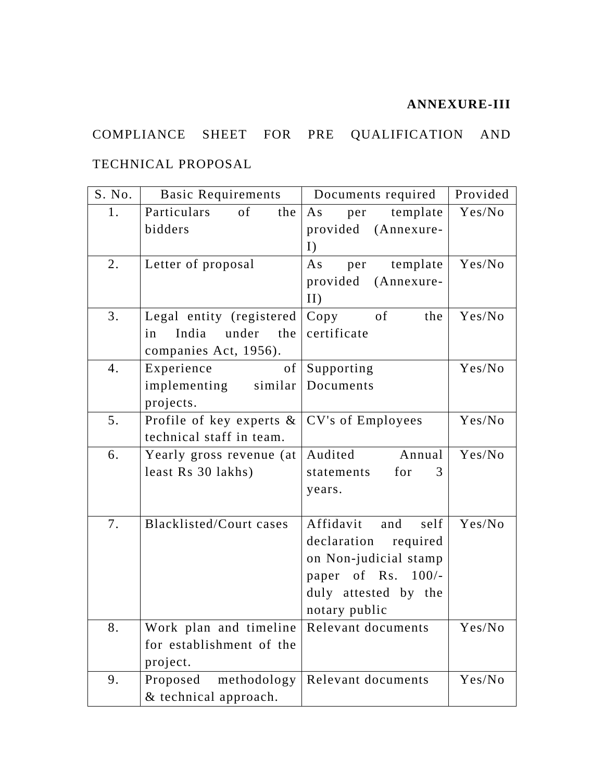# **ANNEXURE-III**

# COMPLIANCE SHEET FOR PRE QUALIFICATION AND

# TECHNICAL PROPOSAL

| S. No. | <b>Basic Requirements</b>                                             | Documents required       | Provided |
|--------|-----------------------------------------------------------------------|--------------------------|----------|
| 1.     | Particulars<br>of<br>the                                              | template<br>As<br>per    | Yes/No   |
|        | bidders                                                               | provided (Annexure-      |          |
|        |                                                                       | I)                       |          |
| 2.     | Letter of proposal                                                    | template<br>As<br>per    | Yes/No   |
|        |                                                                       | provided<br>(Annexure-   |          |
|        |                                                                       | II)                      |          |
| 3.     | Legal entity (registered                                              | of<br>the<br>Copy        | Yes/No   |
|        | India under the<br>in                                                 | certificate              |          |
|        | companies Act, 1956).                                                 |                          |          |
| 4.     | of<br>Experience                                                      | Supporting               | Yes/No   |
|        | implementing similar                                                  | Documents                |          |
|        | projects.                                                             |                          |          |
| 5.     | Profile of key experts $\&$ $CV's$ of Employees                       |                          | Yes/No   |
|        | technical staff in team.                                              |                          |          |
| 6.     | Yearly gross revenue (at                                              | Audited<br>Annual        | Yes/No   |
|        | least Rs 30 lakhs)                                                    | for<br>statements<br>3   |          |
|        |                                                                       | years.                   |          |
|        |                                                                       |                          |          |
| 7.     | Blacklisted/Court cases                                               | Affidavit<br>self<br>and | Yes/No   |
|        |                                                                       | declaration required     |          |
|        |                                                                       | on Non-judicial stamp    |          |
|        |                                                                       | paper of Rs. 100/-       |          |
|        |                                                                       | duly attested by the     |          |
|        |                                                                       | notary public            |          |
| 8.     | Work plan and timeline Relevant documents<br>for establishment of the |                          | Yes/No   |
|        |                                                                       |                          |          |
|        | project.                                                              |                          |          |
| 9.     | methodology<br>Proposed                                               | Relevant documents       | Yes/No   |
|        | & technical approach.                                                 |                          |          |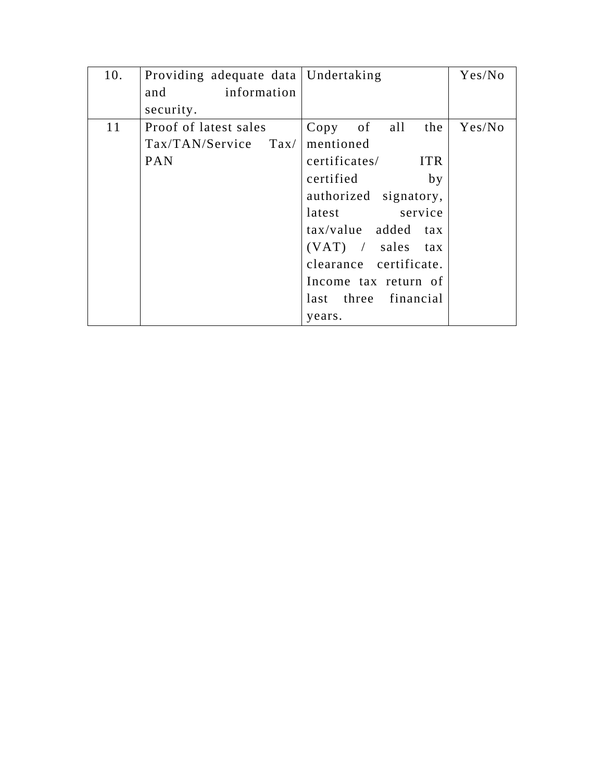| 10. | Providing adequate data   Undertaking |                             | Yes/No |
|-----|---------------------------------------|-----------------------------|--------|
|     | information<br>and                    |                             |        |
|     | security.                             |                             |        |
| 11  | Proof of latest sales                 | Copy of all<br>the          | Yes/No |
|     | $\text{Tax/TAN/Service } \text{Tax/}$ | mentioned                   |        |
|     | <b>PAN</b>                            | <b>ITR</b><br>certificates/ |        |
|     |                                       | certified<br>by             |        |
|     |                                       | authorized signatory,       |        |
|     |                                       | latest service              |        |
|     |                                       | tax/value added tax         |        |
|     |                                       | $(VAT)$ / sales tax         |        |
|     |                                       | clearance certificate.      |        |
|     |                                       | Income tax return of        |        |
|     |                                       | last three financial        |        |
|     |                                       | years.                      |        |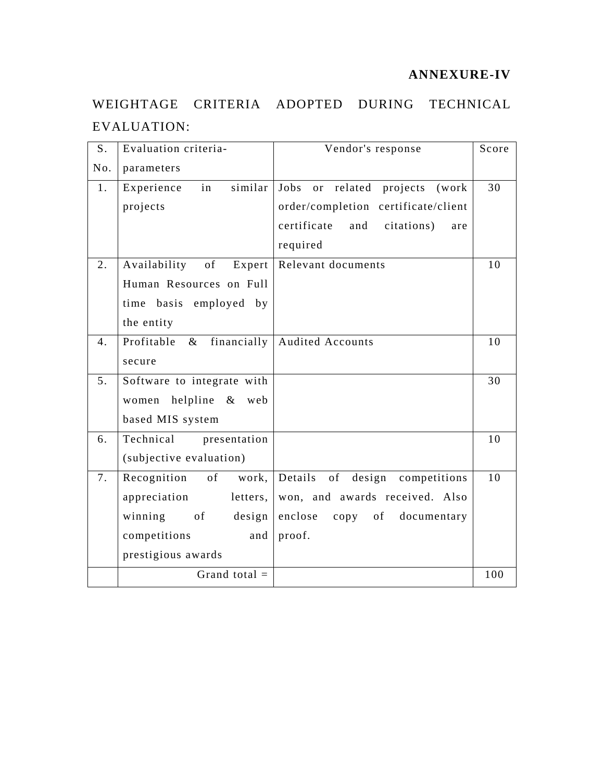## **ANNEXURE-IV**

# WEIGHTAGE CRITERIA ADOPTED DURING TECHNICAL EVALUATION:

| S.             | Evaluation criteria-        | Vendor's response                       | Score |
|----------------|-----------------------------|-----------------------------------------|-------|
| No.            | parameters                  |                                         |       |
| 1.             | similar<br>Experience<br>in | or related projects<br>Jobs<br>(work)   | 30    |
|                | projects                    | order/completion certificate/client     |       |
|                |                             | certificate<br>and<br>citations)<br>are |       |
|                |                             | required                                |       |
| 2.             | Availability of<br>Expert   | Relevant documents                      | 10    |
|                | Human Resources on Full     |                                         |       |
|                | time basis employed by      |                                         |       |
|                | the entity                  |                                         |       |
| 4.             | Profitable<br>$\&$          | financially   Audited Accounts          | 10    |
|                | secure                      |                                         |       |
| 5 <sub>1</sub> | Software to integrate with  |                                         | 30    |
|                | women helpline & web        |                                         |       |
|                | based MIS system            |                                         |       |
| 6.             | Technical<br>presentation   |                                         | 10    |
|                | (subjective evaluation)     |                                         |       |
| 7.             | Recognition<br>of work,     | Details of design competitions          | 10    |
|                | appreciation<br>letters,    | won, and awards received. Also          |       |
|                | winning of<br>design        | enclose<br>copy of documentary          |       |
|                | competitions<br>and         | proof.                                  |       |
|                | prestigious awards          |                                         |       |
|                | Grand total $=$             |                                         | 100   |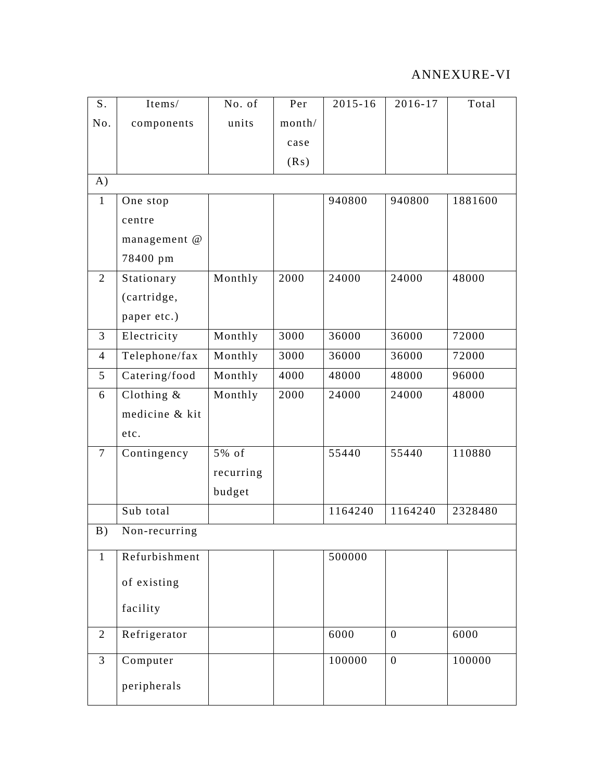# ANNEXURE-VI

| S.             | Items/         | No. of    | Per    | $2015 - 16$ | 2016-17          | Total   |
|----------------|----------------|-----------|--------|-------------|------------------|---------|
| No.            | components     | units     | month/ |             |                  |         |
|                |                |           | case   |             |                  |         |
|                |                |           | (Rs)   |             |                  |         |
| A)             |                |           |        |             |                  |         |
| $\mathbf{1}$   | One stop       |           |        | 940800      | 940800           | 1881600 |
|                | centre         |           |        |             |                  |         |
|                | management @   |           |        |             |                  |         |
|                | 78400 pm       |           |        |             |                  |         |
| 2              | Stationary     | Monthly   | 2000   | 24000       | 24000            | 48000   |
|                | (cartridge,    |           |        |             |                  |         |
|                | paper etc.)    |           |        |             |                  |         |
| $\overline{3}$ | Electricity    | Monthly   | 3000   | 36000       | 36000            | 72000   |
| $\overline{4}$ | Telephone/fax  | Monthly   | 3000   | 36000       | 36000            | 72000   |
| 5              | Catering/food  | Monthly   | 4000   | 48000       | 48000            | 96000   |
| 6              | Clothing $\&$  | Monthly   | 2000   | 24000       | 24000            | 48000   |
|                | medicine & kit |           |        |             |                  |         |
|                | etc.           |           |        |             |                  |         |
| $\overline{7}$ | Contingency    | 5% of     |        | 55440       | 55440            | 110880  |
|                |                | recurring |        |             |                  |         |
|                |                | budget    |        |             |                  |         |
|                | Sub total      |           |        | 1164240     | 1164240          | 2328480 |
| B)             | Non-recurring  |           |        |             |                  |         |
| 1              | Refurbishment  |           |        | 500000      |                  |         |
|                | of existing    |           |        |             |                  |         |
|                | facility       |           |        |             |                  |         |
| $\overline{2}$ | Refrigerator   |           |        | 6000        | $\boldsymbol{0}$ | 6000    |
| 3              | Computer       |           |        | 100000      | $\boldsymbol{0}$ | 100000  |
|                | peripherals    |           |        |             |                  |         |